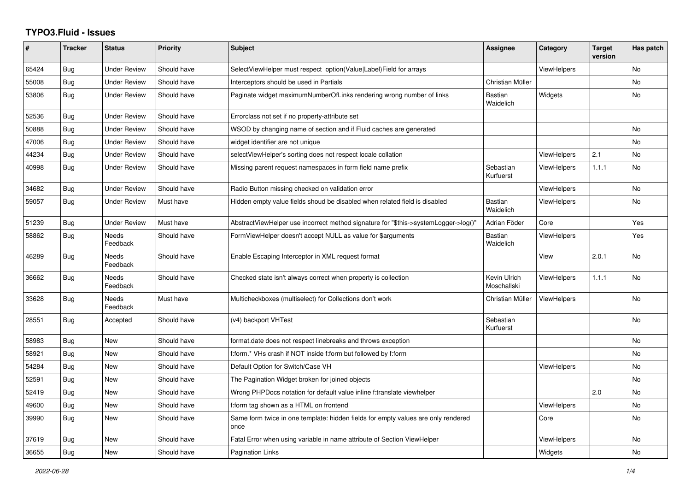## **TYPO3.Fluid - Issues**

| #     | <b>Tracker</b> | <b>Status</b>            | Priority    | Subject                                                                                   | <b>Assignee</b>             | Category           | <b>Target</b><br>version | Has patch      |
|-------|----------------|--------------------------|-------------|-------------------------------------------------------------------------------------------|-----------------------------|--------------------|--------------------------|----------------|
| 65424 | Bug            | <b>Under Review</b>      | Should have | SelectViewHelper must respect option(Value Label)Field for arrays                         |                             | <b>ViewHelpers</b> |                          | No             |
| 55008 | Bug            | <b>Under Review</b>      | Should have | Interceptors should be used in Partials                                                   | Christian Müller            |                    |                          | No             |
| 53806 | <b>Bug</b>     | <b>Under Review</b>      | Should have | Paginate widget maximumNumberOfLinks rendering wrong number of links                      | <b>Bastian</b><br>Waidelich | Widgets            |                          | No             |
| 52536 | Bug            | <b>Under Review</b>      | Should have | Errorclass not set if no property-attribute set                                           |                             |                    |                          |                |
| 50888 | <b>Bug</b>     | <b>Under Review</b>      | Should have | WSOD by changing name of section and if Fluid caches are generated                        |                             |                    |                          | No             |
| 47006 | Bug            | <b>Under Review</b>      | Should have | widget identifier are not unique                                                          |                             |                    |                          | <b>No</b>      |
| 44234 | Bug            | <b>Under Review</b>      | Should have | selectViewHelper's sorting does not respect locale collation                              |                             | <b>ViewHelpers</b> | 2.1                      | No             |
| 40998 | <b>Bug</b>     | <b>Under Review</b>      | Should have | Missing parent request namespaces in form field name prefix                               | Sebastian<br>Kurfuerst      | <b>ViewHelpers</b> | 1.1.1                    | No             |
| 34682 | Bug            | <b>Under Review</b>      | Should have | Radio Button missing checked on validation error                                          |                             | <b>ViewHelpers</b> |                          | No             |
| 59057 | <b>Bug</b>     | <b>Under Review</b>      | Must have   | Hidden empty value fields shoud be disabled when related field is disabled                | <b>Bastian</b><br>Waidelich | ViewHelpers        |                          | N <sub>o</sub> |
| 51239 | Bug            | <b>Under Review</b>      | Must have   | AbstractViewHelper use incorrect method signature for "\$this->systemLogger->log()"       | Adrian Föder                | Core               |                          | Yes            |
| 58862 | Bug            | Needs<br>Feedback        | Should have | FormViewHelper doesn't accept NULL as value for \$arguments                               | <b>Bastian</b><br>Waidelich | <b>ViewHelpers</b> |                          | Yes            |
| 46289 | Bug            | <b>Needs</b><br>Feedback | Should have | Enable Escaping Interceptor in XML request format                                         |                             | View               | 2.0.1                    | No             |
| 36662 | <b>Bug</b>     | Needs<br>Feedback        | Should have | Checked state isn't always correct when property is collection                            | Kevin Ulrich<br>Moschallski | <b>ViewHelpers</b> | 1.1.1                    | No             |
| 33628 | <b>Bug</b>     | Needs<br>Feedback        | Must have   | Multicheckboxes (multiselect) for Collections don't work                                  | Christian Müller            | ViewHelpers        |                          | No             |
| 28551 | Bug            | Accepted                 | Should have | (v4) backport VHTest                                                                      | Sebastian<br>Kurfuerst      |                    |                          | No             |
| 58983 | Bug            | New                      | Should have | format.date does not respect linebreaks and throws exception                              |                             |                    |                          | No             |
| 58921 | Bug            | <b>New</b>               | Should have | f:form.* VHs crash if NOT inside f:form but followed by f:form                            |                             |                    |                          | No             |
| 54284 | Bug            | New                      | Should have | Default Option for Switch/Case VH                                                         |                             | <b>ViewHelpers</b> |                          | No             |
| 52591 | <b>Bug</b>     | <b>New</b>               | Should have | The Pagination Widget broken for joined objects                                           |                             |                    |                          | No             |
| 52419 | Bug            | New                      | Should have | Wrong PHPDocs notation for default value inline f:translate viewhelper                    |                             |                    | 2.0                      | No             |
| 49600 | Bug            | New                      | Should have | f:form tag shown as a HTML on frontend                                                    |                             | <b>ViewHelpers</b> |                          | No             |
| 39990 | <b>Bug</b>     | New                      | Should have | Same form twice in one template: hidden fields for empty values are only rendered<br>once |                             | Core               |                          | No             |
| 37619 | Bug            | New                      | Should have | Fatal Error when using variable in name attribute of Section ViewHelper                   |                             | ViewHelpers        |                          | No             |
| 36655 | <b>Bug</b>     | <b>New</b>               | Should have | <b>Pagination Links</b>                                                                   |                             | Widgets            |                          | No             |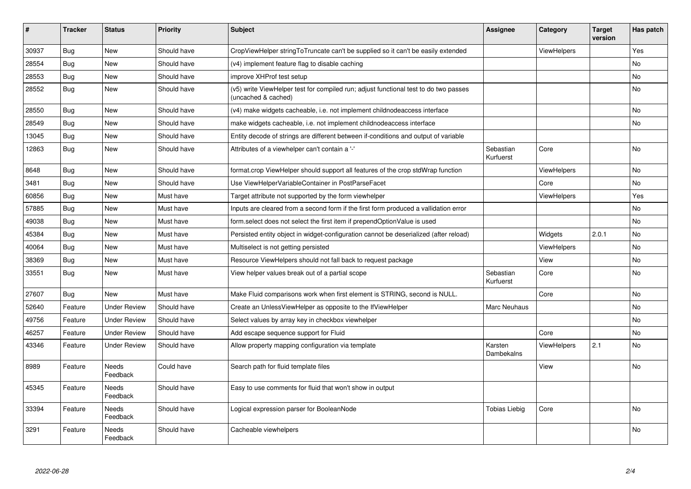| #     | <b>Tracker</b> | <b>Status</b>            | <b>Priority</b> | <b>Subject</b>                                                                                              | <b>Assignee</b>        | Category           | <b>Target</b><br>version | Has patch |
|-------|----------------|--------------------------|-----------------|-------------------------------------------------------------------------------------------------------------|------------------------|--------------------|--------------------------|-----------|
| 30937 | Bug            | <b>New</b>               | Should have     | CropViewHelper stringToTruncate can't be supplied so it can't be easily extended                            |                        | <b>ViewHelpers</b> |                          | Yes       |
| 28554 | Bug            | <b>New</b>               | Should have     | (v4) implement feature flag to disable caching                                                              |                        |                    |                          | No.       |
| 28553 | Bug            | New                      | Should have     | improve XHProf test setup                                                                                   |                        |                    |                          | No        |
| 28552 | Bug            | <b>New</b>               | Should have     | (v5) write ViewHelper test for compiled run; adjust functional test to do two passes<br>(uncached & cached) |                        |                    |                          | No        |
| 28550 | Bug            | <b>New</b>               | Should have     | (v4) make widgets cacheable, i.e. not implement childnodeaccess interface                                   |                        |                    |                          | No        |
| 28549 | Bug            | <b>New</b>               | Should have     | make widgets cacheable, i.e. not implement childnodeaccess interface                                        |                        |                    |                          | <b>No</b> |
| 13045 | <b>Bug</b>     | <b>New</b>               | Should have     | Entity decode of strings are different between if-conditions and output of variable                         |                        |                    |                          |           |
| 12863 | Bug            | New                      | Should have     | Attributes of a viewhelper can't contain a '-'                                                              | Sebastian<br>Kurfuerst | Core               |                          | No        |
| 8648  | Bug            | New                      | Should have     | format.crop ViewHelper should support all features of the crop stdWrap function                             |                        | ViewHelpers        |                          | No        |
| 3481  | Bug            | New                      | Should have     | Use ViewHelperVariableContainer in PostParseFacet                                                           |                        | Core               |                          | No        |
| 60856 | Bug            | New                      | Must have       | Target attribute not supported by the form viewhelper                                                       |                        | <b>ViewHelpers</b> |                          | Yes       |
| 57885 | Bug            | New                      | Must have       | Inputs are cleared from a second form if the first form produced a vallidation error                        |                        |                    |                          | No        |
| 49038 | <b>Bug</b>     | New                      | Must have       | form select does not select the first item if prependOptionValue is used                                    |                        |                    |                          | No        |
| 45384 | Bug            | <b>New</b>               | Must have       | Persisted entity object in widget-configuration cannot be deserialized (after reload)                       |                        | Widgets            | 2.0.1                    | No        |
| 40064 | Bug            | <b>New</b>               | Must have       | Multiselect is not getting persisted                                                                        |                        | ViewHelpers        |                          | <b>No</b> |
| 38369 | Bug            | New                      | Must have       | Resource ViewHelpers should not fall back to request package                                                |                        | View               |                          | No        |
| 33551 | <b>Bug</b>     | New                      | Must have       | View helper values break out of a partial scope                                                             | Sebastian<br>Kurfuerst | Core               |                          | No        |
| 27607 | Bug            | <b>New</b>               | Must have       | Make Fluid comparisons work when first element is STRING, second is NULL.                                   |                        | Core               |                          | No        |
| 52640 | Feature        | <b>Under Review</b>      | Should have     | Create an UnlessViewHelper as opposite to the IfViewHelper                                                  | Marc Neuhaus           |                    |                          | No        |
| 49756 | Feature        | <b>Under Review</b>      | Should have     | Select values by array key in checkbox viewhelper                                                           |                        |                    |                          | No        |
| 46257 | Feature        | <b>Under Review</b>      | Should have     | Add escape sequence support for Fluid                                                                       |                        | Core               |                          | No.       |
| 43346 | Feature        | <b>Under Review</b>      | Should have     | Allow property mapping configuration via template                                                           | Karsten<br>Dambekalns  | <b>ViewHelpers</b> | 2.1                      | No.       |
| 8989  | Feature        | <b>Needs</b><br>Feedback | Could have      | Search path for fluid template files                                                                        |                        | View               |                          | No        |
| 45345 | Feature        | <b>Needs</b><br>Feedback | Should have     | Easy to use comments for fluid that won't show in output                                                    |                        |                    |                          |           |
| 33394 | Feature        | <b>Needs</b><br>Feedback | Should have     | Logical expression parser for BooleanNode                                                                   | Tobias Liebig          | Core               |                          | <b>No</b> |
| 3291  | Feature        | Needs<br>Feedback        | Should have     | Cacheable viewhelpers                                                                                       |                        |                    |                          | No        |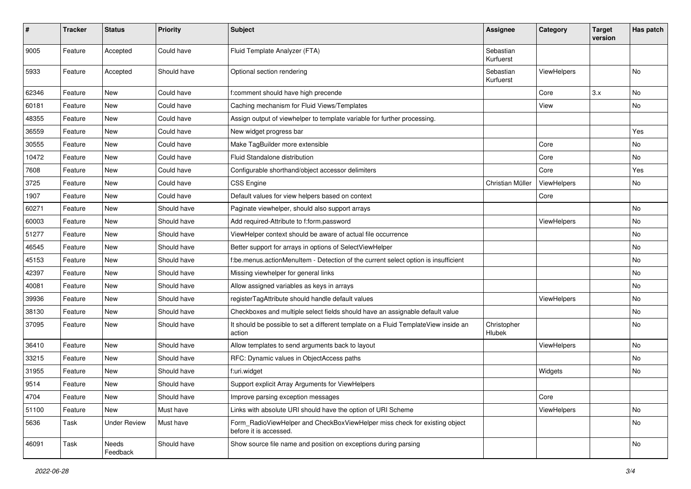| #     | <b>Tracker</b> | <b>Status</b>       | <b>Priority</b> | Subject                                                                                              | <b>Assignee</b>        | Category    | <b>Target</b><br>version | Has patch |
|-------|----------------|---------------------|-----------------|------------------------------------------------------------------------------------------------------|------------------------|-------------|--------------------------|-----------|
| 9005  | Feature        | Accepted            | Could have      | Fluid Template Analyzer (FTA)                                                                        | Sebastian<br>Kurfuerst |             |                          |           |
| 5933  | Feature        | Accepted            | Should have     | Optional section rendering                                                                           | Sebastian<br>Kurfuerst | ViewHelpers |                          | No        |
| 62346 | Feature        | New                 | Could have      | f:comment should have high precende                                                                  |                        | Core        | 3.x                      | No        |
| 60181 | Feature        | <b>New</b>          | Could have      | Caching mechanism for Fluid Views/Templates                                                          |                        | View        |                          | No        |
| 48355 | Feature        | New                 | Could have      | Assign output of viewhelper to template variable for further processing.                             |                        |             |                          |           |
| 36559 | Feature        | New                 | Could have      | New widget progress bar                                                                              |                        |             |                          | Yes       |
| 30555 | Feature        | New                 | Could have      | Make TagBuilder more extensible                                                                      |                        | Core        |                          | No        |
| 10472 | Feature        | New                 | Could have      | Fluid Standalone distribution                                                                        |                        | Core        |                          | No        |
| 7608  | Feature        | New                 | Could have      | Configurable shorthand/object accessor delimiters                                                    |                        | Core        |                          | Yes       |
| 3725  | Feature        | New                 | Could have      | <b>CSS Engine</b>                                                                                    | Christian Müller       | ViewHelpers |                          | No        |
| 1907  | Feature        | New                 | Could have      | Default values for view helpers based on context                                                     |                        | Core        |                          |           |
| 60271 | Feature        | New                 | Should have     | Paginate viewhelper, should also support arrays                                                      |                        |             |                          | No        |
| 60003 | Feature        | New                 | Should have     | Add required-Attribute to f:form.password                                                            |                        | ViewHelpers |                          | No        |
| 51277 | Feature        | New                 | Should have     | ViewHelper context should be aware of actual file occurrence                                         |                        |             |                          | No        |
| 46545 | Feature        | New                 | Should have     | Better support for arrays in options of SelectViewHelper                                             |                        |             |                          | No        |
| 45153 | Feature        | New                 | Should have     | f:be.menus.actionMenuItem - Detection of the current select option is insufficient                   |                        |             |                          | No        |
| 42397 | Feature        | New                 | Should have     | Missing viewhelper for general links                                                                 |                        |             |                          | No        |
| 40081 | Feature        | New                 | Should have     | Allow assigned variables as keys in arrays                                                           |                        |             |                          | No        |
| 39936 | Feature        | New                 | Should have     | registerTagAttribute should handle default values                                                    |                        | ViewHelpers |                          | No        |
| 38130 | Feature        | New                 | Should have     | Checkboxes and multiple select fields should have an assignable default value                        |                        |             |                          | No        |
| 37095 | Feature        | New                 | Should have     | It should be possible to set a different template on a Fluid TemplateView inside an<br>action        | Christopher<br>Hlubek  |             |                          | No        |
| 36410 | Feature        | <b>New</b>          | Should have     | Allow templates to send arguments back to layout                                                     |                        | ViewHelpers |                          | No        |
| 33215 | Feature        | New                 | Should have     | RFC: Dynamic values in ObjectAccess paths                                                            |                        |             |                          | No        |
| 31955 | Feature        | <b>New</b>          | Should have     | f:uri.widget                                                                                         |                        | Widgets     |                          | No        |
| 9514  | Feature        | New                 | Should have     | Support explicit Array Arguments for ViewHelpers                                                     |                        |             |                          |           |
| 4704  | Feature        | New                 | Should have     | Improve parsing exception messages                                                                   |                        | Core        |                          |           |
| 51100 | Feature        | New                 | Must have       | Links with absolute URI should have the option of URI Scheme                                         |                        | ViewHelpers |                          | No        |
| 5636  | Task           | <b>Under Review</b> | Must have       | Form RadioViewHelper and CheckBoxViewHelper miss check for existing object<br>before it is accessed. |                        |             |                          | No        |
| 46091 | Task           | Needs<br>Feedback   | Should have     | Show source file name and position on exceptions during parsing                                      |                        |             |                          | No        |